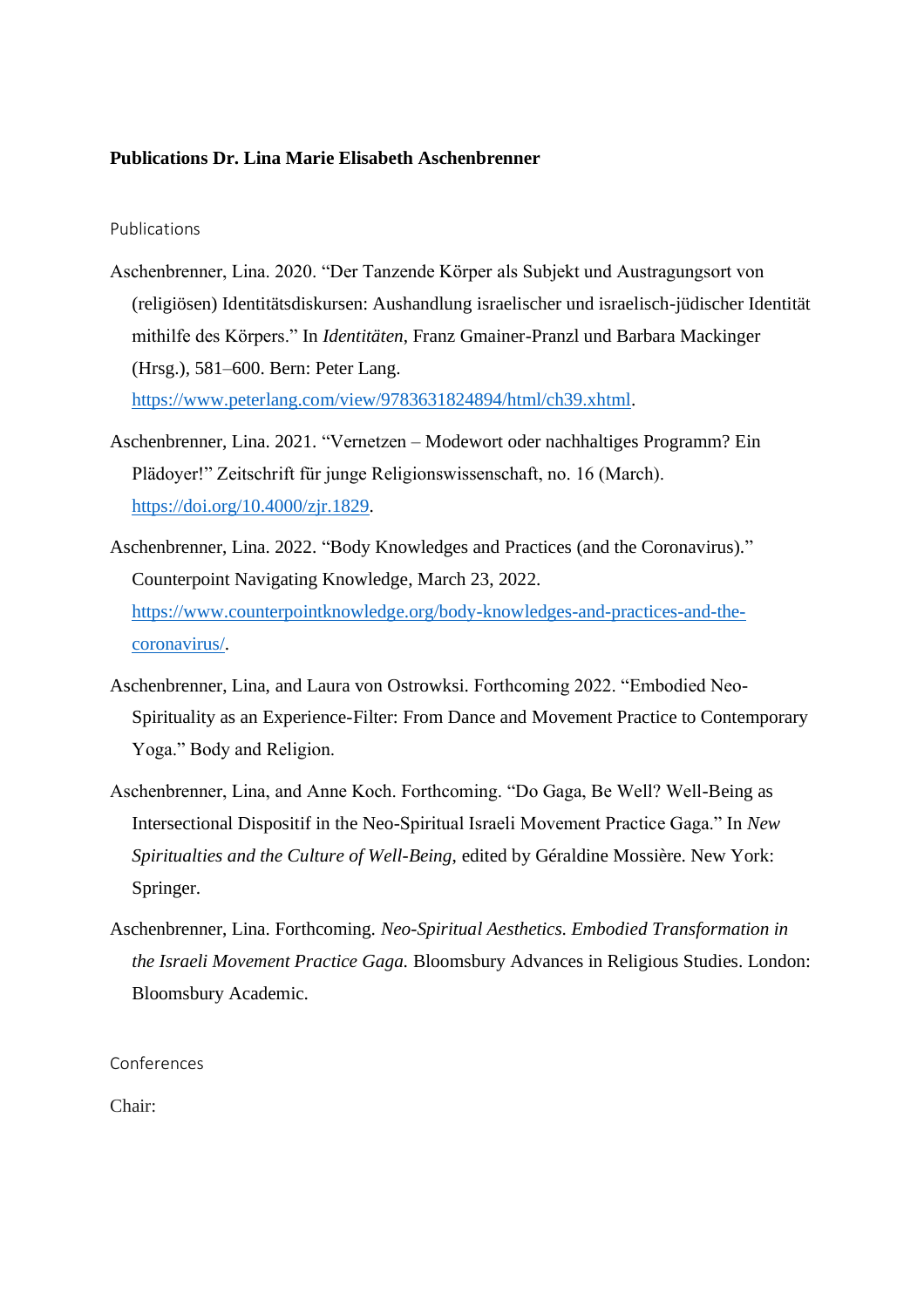## **Publications Dr. Lina Marie Elisabeth Aschenbrenner**

Publications

- Aschenbrenner, Lina. 2020. "Der Tanzende Körper als Subjekt und Austragungsort von (religiösen) Identitätsdiskursen: Aushandlung israelischer und israelisch-jüdischer Identität mithilfe des Körpers." In *Identitäten*, Franz Gmainer-Pranzl und Barbara Mackinger (Hrsg.), 581–600. Bern: Peter Lang. [https://www.peterlang.com/view/9783631824894/html/ch39.xhtml.](https://www.peterlang.com/view/9783631824894/html/ch39.xhtml)
- Aschenbrenner, Lina. 2021. "Vernetzen Modewort oder nachhaltiges Programm? Ein Plädoyer!" Zeitschrift für junge Religionswissenschaft, no. 16 (March). [https://doi.org/10.4000/zjr.1829.](https://doi.org/10.4000/zjr.1829)
- Aschenbrenner, Lina. 2022. "Body Knowledges and Practices (and the Coronavirus)." Counterpoint Navigating Knowledge, March 23, 2022. [https://www.counterpointknowledge.org/body-knowledges-and-practices-and-the](https://www.counterpointknowledge.org/body-knowledges-and-practices-and-the-coronavirus/)[coronavirus/.](https://www.counterpointknowledge.org/body-knowledges-and-practices-and-the-coronavirus/)
- Aschenbrenner, Lina, and Laura von Ostrowksi. Forthcoming 2022. "Embodied Neo-Spirituality as an Experience-Filter: From Dance and Movement Practice to Contemporary Yoga." Body and Religion.
- Aschenbrenner, Lina, and Anne Koch. Forthcoming. "Do Gaga, Be Well? Well-Being as Intersectional Dispositif in the Neo-Spiritual Israeli Movement Practice Gaga." In *New Spiritualties and the Culture of Well-Being*, edited by Géraldine Mossière. New York: Springer.
- Aschenbrenner, Lina. Forthcoming. *Neo-Spiritual Aesthetics. Embodied Transformation in the Israeli Movement Practice Gaga.* Bloomsbury Advances in Religious Studies. London: Bloomsbury Academic.

Conferences

Chair: